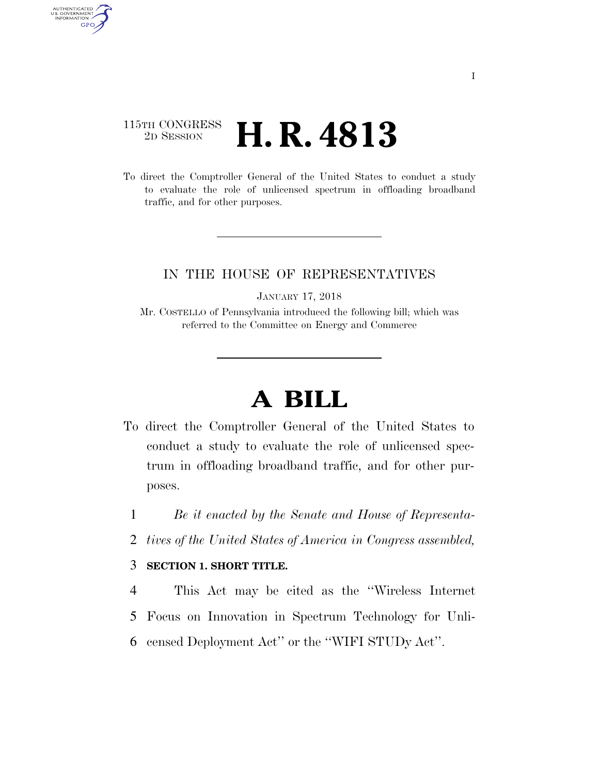## 115TH CONGRESS <sup>2D SESSION</sup> **H. R. 4813**

AUTHENTICATED<br>U.S. GOVERNMENT<br>INFORMATION

**GPO** 

To direct the Comptroller General of the United States to conduct a study to evaluate the role of unlicensed spectrum in offloading broadband traffic, and for other purposes.

## IN THE HOUSE OF REPRESENTATIVES

JANUARY 17, 2018

Mr. COSTELLO of Pennsylvania introduced the following bill; which was referred to the Committee on Energy and Commerce

## **A BILL**

To direct the Comptroller General of the United States to conduct a study to evaluate the role of unlicensed spectrum in offloading broadband traffic, and for other purposes.

1 *Be it enacted by the Senate and House of Representa-*

2 *tives of the United States of America in Congress assembled,* 

## 3 **SECTION 1. SHORT TITLE.**

4 This Act may be cited as the ''Wireless Internet 5 Focus on Innovation in Spectrum Technology for Unli-6 censed Deployment Act'' or the ''WIFI STUDy Act''.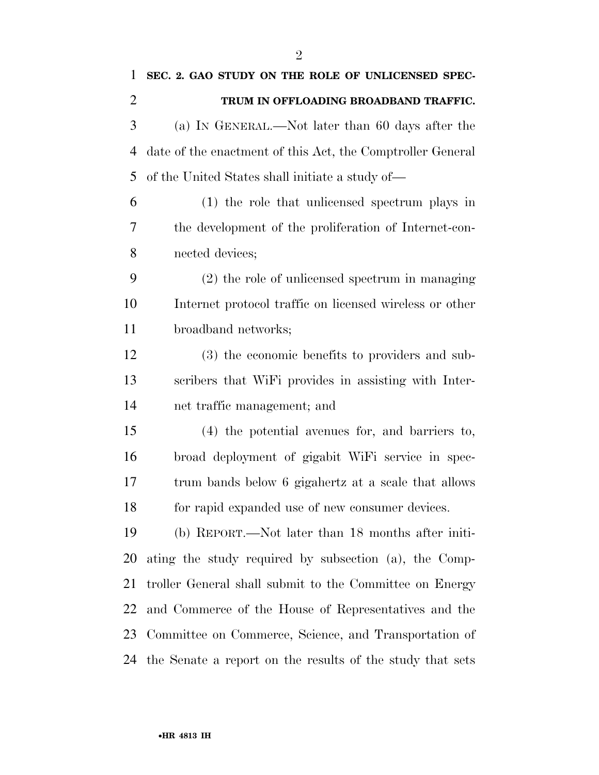| $\mathbf{1}$   | SEC. 2. GAO STUDY ON THE ROLE OF UNLICENSED SPEC-          |
|----------------|------------------------------------------------------------|
| $\overline{2}$ | TRUM IN OFFLOADING BROADBAND TRAFFIC.                      |
| 3              | (a) IN GENERAL.—Not later than 60 days after the           |
| 4              | date of the enactment of this Act, the Comptroller General |
| 5              | of the United States shall initiate a study of—            |
| 6              | (1) the role that unlicensed spectrum plays in             |
| 7              | the development of the proliferation of Internet-con-      |
| 8              | nected devices;                                            |
| 9              | (2) the role of unlicensed spectrum in managing            |
| 10             | Internet protocol traffic on licensed wireless or other    |
| 11             | broadband networks;                                        |
| 12             | (3) the economic benefits to providers and sub-            |
| 13             | scribers that WiFi provides in assisting with Inter-       |
| 14             | net traffic management; and                                |
| 15             | (4) the potential avenues for, and barriers to,            |
| 16             | broad deployment of gigabit WiFi service in spec-          |
| 17             | trum bands below 6 gigahertz at a scale that allows        |
| 18             | for rapid expanded use of new consumer devices.            |
| 19             | (b) REPORT.—Not later than 18 months after initi-          |
| 20             | ating the study required by subsection (a), the Comp-      |
| 21             | troller General shall submit to the Committee on Energy    |
| 22             | and Commerce of the House of Representatives and the       |
| 23             | Committee on Commerce, Science, and Transportation of      |
| 24             | the Senate a report on the results of the study that sets  |